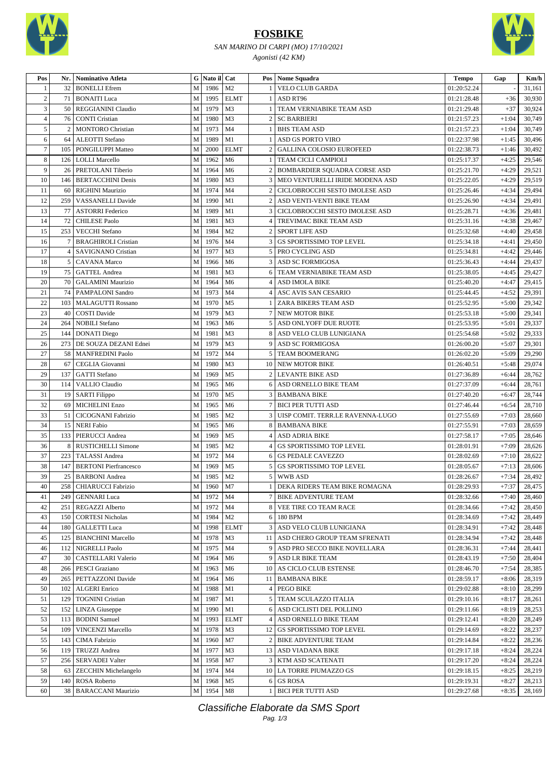

## **FOSBIKE**

#### *SAN MARINO DI CARPI (MO) 17/10/2021 Agonisti (42 KM)*



| Pos            | Nr.            | <b>Nominativo Atleta</b>     |                | G Nato il Cat |                |                | Pos   Nome Squadra                   | Tempo       | Gap     | Km/h   |
|----------------|----------------|------------------------------|----------------|---------------|----------------|----------------|--------------------------------------|-------------|---------|--------|
|                | 32             | <b>BONELLI</b> Efrem         | M              | 1986          | M <sub>2</sub> |                | <b>VELO CLUB GARDA</b>               | 01:20:52.24 |         | 31,161 |
| $\overline{c}$ | 71             | <b>BONAITI</b> Luca          | M              | 1995          | <b>ELMT</b>    |                | ASD RT96                             | 01:21:28.48 | $+36$   | 30,930 |
| 3              | 50             | REGGIANINI Claudio           | ${\bf M}$      | 1979          | M <sub>3</sub> |                | TEAM VERNIABIKE TEAM ASD             | 01:21:29.48 | $+37$   | 30,924 |
| $\overline{4}$ | 76             | <b>CONTI Cristian</b>        | M              | 1980          | M <sub>3</sub> | 2              | <b>SC BARBIERI</b>                   | 01:21:57.23 | $+1:04$ | 30,749 |
| 5              | $\overline{2}$ | <b>MONTORO</b> Christian     | M              | 1973          | M <sub>4</sub> |                | <b>BHS TEAM ASD</b>                  | 01:21:57.23 | $+1:04$ | 30,749 |
| 6              | 64             | ALEOTTI Stefano              | ${\bf M}$      | 1989          | M1             | 1              | <b>ASD GS PORTO VIRO</b>             | 01:22:37.98 | $+1:45$ | 30,496 |
| $\tau$         | 105            | PONGILUPPI Matteo            | M              | 2000          | <b>ELMT</b>    | 2              | GALLINA COLOSIO EUROFEED             | 01:22:38.73 | $+1:46$ | 30,492 |
| $\,8\,$        | 126            | <b>LOLLI</b> Marcello        | $\mathbf M$    | 1962          | M <sub>6</sub> |                | TEAM CICLI CAMPIOLI                  | 01:25:17.37 | $+4:25$ | 29,546 |
| 9              | 26             | PRETOLANI Tiberio            | ${\bf M}$      | 1964          | M <sub>6</sub> | $\overline{c}$ | BOMBARDIER SQUADRA CORSE ASD         | 01:25:21.70 | $+4:29$ | 29,521 |
| 10             | 146            | <b>BERTACCHINI Denis</b>     | M              | 1980          | M <sub>3</sub> |                | MEO VENTURELLI IRIDE MODENA ASD      | 01:25:22.05 | $+4:29$ | 29,519 |
| 11             | 60             | RIGHINI Maurizio             | M              | 1974          | M <sub>4</sub> | 2              | CICLOBROCCHI SESTO IMOLESE ASD       | 01:25:26.46 | $+4:34$ | 29,494 |
| 12             | 259            | VASSANELLI Davide            | M              | 1990          | M1             |                | 2 ASD VENTI-VENTI BIKE TEAM          | 01:25:26.90 | $+4:34$ | 29,491 |
| 13             | 77             | <b>ASTORRI Federico</b>      | M              | 1989          | M1             |                | 3   CICLOBROCCHI SESTO IMOLESE ASD   | 01:25:28.71 | $+4:36$ | 29,481 |
| 14             | 72             | <b>CHILESE Paolo</b>         | M              | 1981          | M <sub>3</sub> |                | 4   TREVIMAC BIKE TEAM ASD           | 01:25:31.16 | $+4:38$ | 29,467 |
| 15             | 253            | <b>VECCHI</b> Stefano        | M              | 1984          | M <sub>2</sub> | 2              | <b>SPORT LIFE ASD</b>                | 01:25:32.68 | $+4:40$ | 29,458 |
| 16             | 7              | <b>BRAGHIROLI Cristian</b>   | M              | 1976          | M <sub>4</sub> |                | <b>GS SPORTISSIMO TOP LEVEL</b>      | 01:25:34.18 | $+4:41$ | 29,450 |
| 17             | 4              | <b>SAVIGNANO Cristian</b>    | M              | 1977          | M <sub>3</sub> | 5              | PRO CYCLING ASD                      | 01:25:34.81 | $+4:42$ | 29,446 |
| 18             | 5 <sup>1</sup> | <b>CAVANA</b> Marco          | $\mathbf M$    | 1966          | M <sub>6</sub> | 3              | ASD SC FORMIGOSA                     | 01:25:36.43 | $+4:44$ | 29,437 |
| 19             | 75             | <b>GATTEL Andrea</b>         | M              | 1981          | M3             |                | 6 TEAM VERNIABIKE TEAM ASD           | 01:25:38.05 | $+4:45$ | 29,427 |
| 20             | 70             | <b>GALAMINI Maurizio</b>     | M              | 1964          | M <sub>6</sub> | 4              | <b>ASD IMOLA BIKE</b>                | 01:25:40.20 | $+4:47$ | 29,415 |
| 21             | 74             | <b>PAMPALONI Sandro</b>      | M              | 1973          | M <sub>4</sub> |                | 4 ASC AVIS SAN CESARIO               | 01:25:44.45 | $+4:52$ | 29,391 |
| 22             | 103            | <b>MALAGUTTI Rossano</b>     | M              | 1970          | M <sub>5</sub> | <sup>1</sup>   | ZARA BIKERS TEAM ASD                 | 01:25:52.95 | $+5:00$ | 29,342 |
| 23             | 40             | <b>COSTI Davide</b>          | M              | 1979          | M <sub>3</sub> | 7              | NEW MOTOR BIKE                       | 01:25:53.18 | $+5:00$ | 29,341 |
| 24             | 264            |                              | M              | 1963          | M <sub>6</sub> | 5              | <b>ASD ONLYOFF DUE RUOTE</b>         |             | $+5:01$ | 29,337 |
| 25             | 144            | <b>NOBILI Stefano</b>        | ${\bf M}$      | 1981          | M <sub>3</sub> |                | 8 ASD VELO CLUB LUNIGIANA            | 01:25:53.95 | $+5:02$ |        |
|                |                | <b>DONATI</b> Diego          |                |               |                |                |                                      | 01:25:54.68 |         | 29,333 |
| 26             | 273            | DE SOUZA DEZANI Ednei        | M              | 1979          | M <sub>3</sub> |                | 9 ASD SC FORMIGOSA                   | 01:26:00.20 | $+5:07$ | 29,301 |
| 27             | 58             | <b>MANFREDINI Paolo</b>      | M              | 1972          | M <sub>4</sub> |                | <b>5 TEAM BOOMERANG</b>              | 01:26:02.20 | $+5:09$ | 29,290 |
| 28             | 67             | CEGLIA Giovanni              | $\mathbf M$    | 1980          | M <sub>3</sub> | 10             | NEW MOTOR BIKE                       | 01:26:40.51 | $+5:48$ | 29,074 |
| 29             | 137            | <b>GATTI</b> Stefano         | M              | 1969          | M <sub>5</sub> | 2              | <b>LEVANTE BIKE ASD</b>              | 01:27:36.89 | $+6:44$ | 28,762 |
| 30             | 114            | <b>VALLIO</b> Claudio        | $\mathbf{M}$   | 1965          | M <sub>6</sub> |                | 6   ASD ORNELLO BIKE TEAM            | 01:27:37.09 | $+6:44$ | 28,761 |
| 31             | 19             | <b>SARTI Filippo</b>         | M              | 1970          | M <sub>5</sub> | 3              | <b>BAMBANA BIKE</b>                  | 01:27:40.20 | $+6:47$ | 28,744 |
| 32             | 69             | <b>MICHELINI Enzo</b>        | M              | 1965          | M <sub>6</sub> | 7              | <b>BICI PER TUTTI ASD</b>            | 01:27:46.44 | $+6:54$ | 28,710 |
| 33             | 51             | <b>CICOGNANI Fabrizio</b>    | M              | 1985          | M <sub>2</sub> |                | 3   UISP COMIT. TERR.LE RAVENNA-LUGO | 01:27:55.69 | $+7:03$ | 28,660 |
| 34             | 15             | <b>NERI Fabio</b>            | $\mathbf M$    | 1965          | M <sub>6</sub> | 8              | <b>BAMBANA BIKE</b>                  | 01:27:55.91 | $+7:03$ | 28,659 |
| 35             | 133            | PIERUCCI Andrea              | M              | 1969          | M <sub>5</sub> | 4              | <b>ASD ADRIA BIKE</b>                | 01:27:58.17 | $+7:05$ | 28,646 |
| 36             | 8              | <b>RUSTICHELLI Simone</b>    | M              | 1985          | M <sub>2</sub> |                | GS SPORTISSIMO TOP LEVEL             | 01:28:01.91 | $+7:09$ | 28,626 |
| 37             | 223            | <b>TALASSI</b> Andrea        | $\mathbf M$    | 1972          | M <sub>4</sub> | 6              | <b>GS PEDALE CAVEZZO</b>             | 01:28:02.69 | $+7:10$ | 28,622 |
| 38             | 147            | <b>BERTONI</b> Pierfrancesco | M              | 1969          | M <sub>5</sub> | 5 <sup>1</sup> | GS SPORTISSIMO TOP LEVEL             | 01:28:05.67 | $+7:13$ | 28,606 |
| 39             | 25             | <b>BARBONI</b> Andrea        | M              | 1985          | M <sub>2</sub> |                | 5 WWB ASD                            | 01:28:26.67 | $+7:34$ | 28,492 |
| 40             |                | 258 CHIARUCCI Fabrizio       | $\mathbf M$    | 1960 M7       |                |                | 1 DEKA RIDERS TEAM BIKE ROMAGNA      | 01:28:29.93 | $+7:37$ | 28,475 |
| 41             | 249            | <b>GENNARI</b> Luca          | M              | 1972          | M4             |                | 7   BIKE ADVENTURE TEAM              | 01:28:32.66 | $+7:40$ | 28,460 |
| 42             | 251            | REGAZZI Alberto              | M              | 1972          | M4             |                | 8   VEE TIRE CO TEAM RACE            | 01:28:34.66 | $+7:42$ | 28,450 |
| 43             | 150            | <b>CORTESI Nicholas</b>      | M              | 1984          | M <sub>2</sub> |                | 6 180 BPM                            | 01:28:34.69 | +7:42   | 28,449 |
| 44             | 180            | <b>GALLETTI</b> Luca         | M              | 1998          | <b>ELMT</b>    |                | 3 ASD VELO CLUB LUNIGIANA            | 01:28:34.91 | $+7:42$ | 28,448 |
| 45             | 125            | <b>BIANCHINI Marcello</b>    | M              | 1978          | M <sub>3</sub> |                | 11 ASD CHERO GROUP TEAM SFRENATI     | 01:28:34.94 | $+7:42$ | 28,448 |
| 46             | 112            | NIGRELLI Paolo               | M              | 1975          | M <sub>4</sub> |                | 9 ASD PRO SECCO BIKE NOVELLARA       | 01:28:36.31 | $+7:44$ | 28,441 |
| 47             | 30             | <b>CASTELLARI Valerio</b>    | M              | 1964          | M <sub>6</sub> |                | 9 ASD LR BIKE TEAM                   | 01:28:43.19 | $+7:50$ | 28,404 |
| 48             | 266            | <b>PESCI</b> Graziano        | $\mathbf M$    | 1963          | M <sub>6</sub> |                | 10 AS CICLO CLUB ESTENSE             | 01:28:46.70 | $+7:54$ | 28,385 |
| 49             | 265            | PETTAZZONI Davide            | ${\bf M}$      | 1964          | M <sub>6</sub> |                | 11 BAMBANA BIKE                      | 01:28:59.17 | $+8:06$ | 28,319 |
| 50             | 102            | <b>ALGERI</b> Enrico         | M              | 1988          | M1             |                | 4 PEGO BIKE                          | 01:29:02.88 | $+8:10$ | 28,299 |
| 51             | 129            | <b>TOGNINI</b> Cristian      | M              | 1987          | M1             |                | 5 TEAM SCULAZZO ITALIA               | 01:29:10.16 | $+8:17$ | 28,261 |
| 52             | 152            | <b>LINZA</b> Giuseppe        | M              | 1990          | M1             |                | 6   ASD CICLISTI DEL POLLINO         | 01:29:11.66 | $+8:19$ | 28,253 |
| 53             | 113            | <b>BODINI</b> Samuel         | M              | 1993          | <b>ELMT</b>    |                | 4 ASD ORNELLO BIKE TEAM              | 01:29:12.41 | $+8:20$ | 28,249 |
| 54             | 109            | <b>VINCENZI Marcello</b>     | $\mathbf M$    | 1978          | M <sub>3</sub> |                | 12 GS SPORTISSIMO TOP LEVEL          | 01:29:14.69 | $+8:22$ | 28,237 |
| 55             | 143            | CIMA Fabrizio                | M              | 1960          | M7             | 2              | <b>BIKE ADVENTURE TEAM</b>           | 01:29:14.84 | $+8:22$ | 28,236 |
| 56             | 119            | <b>TRUZZI</b> Andrea         | $\mathbf M$    | 1977          | M <sub>3</sub> |                | 13 ASD VIADANA BIKE                  | 01:29:17.18 | $+8:24$ | 28,224 |
| 57             | 256            | <b>SERVADEI Valter</b>       | M              | 1958          | M7             |                | 3   KTM ASD SCATENATI                | 01:29:17.20 | $+8:24$ | 28,224 |
| 58             | 63             | <b>ZECCHIN Michelangelo</b>  | M              | 1974          | M4             |                | 10 LA TORRE PIUMAZZO GS              | 01:29:18.15 | $+8:25$ | 28,219 |
| 59             | 140            | ROSA Roberto                 | M <sup>1</sup> | 1968          | M <sub>5</sub> |                | 6 GS ROSA                            | 01:29:19.31 | $+8:27$ | 28,213 |
| 60             |                | 38   BARACCANI Maurizio      |                | M 1954        | M8             |                | 1 BICI PER TUTTI ASD                 | 01:29:27.68 | $+8:35$ | 28,169 |

Classifiche Elaborate da SMS Sport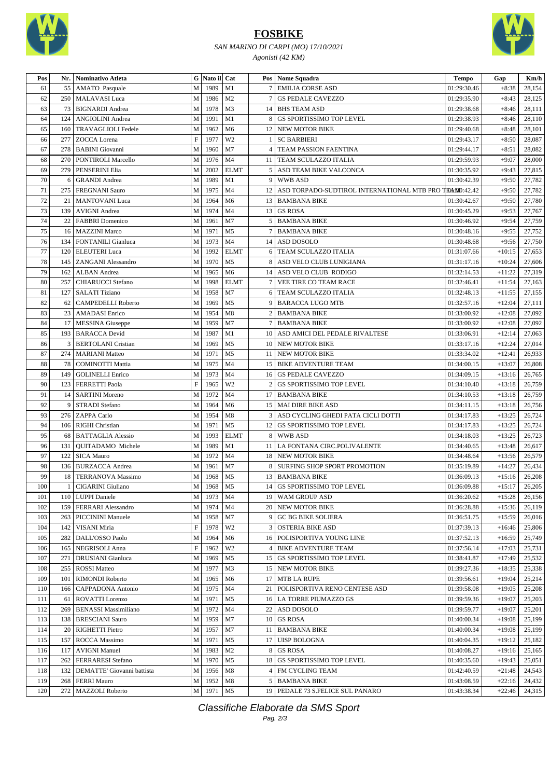

### **FOSBIKE**

#### *SAN MARINO DI CARPI (MO) 17/10/2021 Agonisti (42 KM)*



| Pos | Nr. | Nominativo Atleta           |              | G Nato il Cat |                |                | Pos Nome Squadra                                          | <b>Tempo</b> | Gap      | Km/h   |
|-----|-----|-----------------------------|--------------|---------------|----------------|----------------|-----------------------------------------------------------|--------------|----------|--------|
| 61  | 55  | <b>AMATO</b> Pasquale       | M            | 1989          | M1             | 7 <sup>1</sup> | <b>EMILIA CORSE ASD</b>                                   | 01:29:30.46  | $+8:38$  | 28,154 |
| 62  | 250 | <b>MALAVASI</b> Luca        | M            | 1986          | M <sub>2</sub> |                | <b>GS PEDALE CAVEZZO</b>                                  | 01:29:35.90  | $+8:43$  | 28,125 |
| 63  | 73  | <b>BIGNARDI</b> Andrea      | M            | 1978          | M3             |                | 14 BHS TEAM ASD                                           | 01:29:38.68  | $+8:46$  | 28,111 |
| 64  | 124 | <b>ANGIOLINI</b> Andrea     | ${\bf M}$    | 1991          | M1             | 8              | <b>GS SPORTISSIMO TOP LEVEL</b>                           | 01:29:38.93  | $+8:46$  | 28,110 |
| 65  | 160 | <b>TRAVAGLIOLI Fedele</b>   | M            | 1962          | M <sub>6</sub> | 12             | NEW MOTOR BIKE                                            | 01:29:40.68  | $+8:48$  | 28,101 |
| 66  | 277 | ZOCCA Lorena                | $\mathbf F$  | 1977          | W <sub>2</sub> |                | <b>SC BARBIERI</b>                                        | 01:29:43.17  | $+8:50$  | 28,087 |
| 67  | 278 | <b>BABINI</b> Giovanni      | ${\bf M}$    | 1960          | M7             | $\overline{4}$ | TEAM PASSION FAENTINA                                     | 01:29:44.17  | $+8:51$  | 28,082 |
| 68  | 270 | PONTIROLI Marcello          | M            | 1976          | M <sub>4</sub> |                | 11   TEAM SCULAZZO ITALIA                                 | 01:29:59.93  | $+9:07$  | 28,000 |
| 69  | 279 | PENSERINI Elia              | M            | 2002          | <b>ELMT</b>    |                | 5 ASD TEAM BIKE VALCONCA                                  | 01:30:35.92  | $+9:43$  | 27,815 |
| 70  | 6   | <b>GRANDI</b> Andrea        | $\mathbf M$  | 1989          | M1             | 9              | <b>WWB ASD</b>                                            | 01:30:42.39  | $+9:50$  | 27,782 |
| 71  | 275 | <b>FREGNANI Sauro</b>       | M            | 1975          | M <sub>4</sub> |                | 12 ASD TORPADO-SUDTIROL INTERNATIONAL MTB PRO TEANO:42.42 |              | $+9:50$  | 27,782 |
| 72  | 21  | <b>MANTOVANI</b> Luca       | M            | 1964          | M <sub>6</sub> |                | 13   BAMBANA BIKE                                         | 01:30:42.67  | $+9:50$  | 27,780 |
| 73  | 139 | <b>AVIGNI</b> Andrea        | M            | 1974          | M <sub>4</sub> |                | 13 GS ROSA                                                | 01:30:45.29  | $+9:53$  | 27,767 |
| 74  | 22  | <b>FABBRI</b> Domenico      | M            | 1961          | M7             |                | 5 BAMBANA BIKE                                            | 01:30:46.92  | $+9:54$  | 27,759 |
| 75  | 16  | <b>MAZZINI</b> Marco        | M            | 1971          | M <sub>5</sub> |                | <b>BAMBANA BIKE</b>                                       | 01:30:48.16  | $+9:55$  | 27,752 |
| 76  | 134 | FONTANILI Gianluca          | $\mathbf M$  | 1973          | M <sub>4</sub> |                | 14 ASD DOSOLO                                             | 01:30:48.68  | $+9:56$  | 27,750 |
| 77  | 120 | <b>ELEUTERI</b> Luca        | M            | 1992          | <b>ELMT</b>    | 6              | TEAM SCULAZZO ITALIA                                      | 01:31:07.66  | $+10:15$ | 27,653 |
| 78  | 145 | ZANGANI Alessandro          | M            | 1970          | M <sub>5</sub> | 8              | ASD VELO CLUB LUNIGIANA                                   | 01:31:17.16  | $+10:24$ | 27,606 |
| 79  | 162 | <b>ALBAN</b> Andrea         | M            | 1965          | M <sub>6</sub> |                | 14 ASD VELO CLUB RODIGO                                   | 01:32:14.53  | $+11:22$ | 27,319 |
| 80  | 257 | <b>CHIARUCCI</b> Stefano    | ${\bf M}$    | 1998          | <b>ELMT</b>    | 7 <sup>1</sup> | VEE TIRE CO TEAM RACE                                     | 01:32:46.41  | $+11:54$ | 27,163 |
| 81  | 127 | <b>SALATI Tiziano</b>       | M            | 1958          | M7             |                | 6 TEAM SCULAZZO ITALIA                                    | 01:32:48.13  | $+11:55$ | 27,155 |
| 82  | 62  | CAMPEDELLI Roberto          | M            | 1969          | M <sub>5</sub> | 9              | <b>BARACCA LUGO MTB</b>                                   | 01:32:57.16  | $+12:04$ | 27,111 |
| 83  | 23  | <b>AMADASI</b> Enrico       | ${\bf M}$    | 1954          | M8             |                | <b>BAMBANA BIKE</b>                                       | 01:33:00.92  | $+12:08$ | 27,092 |
| 84  | 17  | <b>MESSINA</b> Giuseppe     | M            | 1959          | M7             | 7              | <b>BAMBANA BIKE</b>                                       | 01:33:00.92  | $+12:08$ | 27,092 |
| 85  | 193 | <b>BARACCA</b> Devid        | M            | 1987          | M1             | 10             | ASD AMICI DEL PEDALE RIVALTESE                            | 01:33:06.91  | $+12:14$ | 27,063 |
| 86  | 3   | <b>BERTOLANI</b> Cristian   | M            | 1969          | M <sub>5</sub> |                | 10 NEW MOTOR BIKE                                         | 01:33:17.16  | $+12:24$ | 27,014 |
| 87  | 274 | <b>MARIANI</b> Matteo       | M            | 1971          | M <sub>5</sub> |                | 11 NEW MOTOR BIKE                                         | 01:33:34.02  | $+12:41$ | 26,933 |
| 88  | 78  | <b>COMINOTTI Mattia</b>     | M            | 1975          | M <sub>4</sub> |                | 15 BIKE ADVENTURE TEAM                                    | 01:34:00.15  | $+13:07$ | 26,808 |
| 89  | 149 | <b>GOLINELLI Enrico</b>     | $\mathbf M$  | 1973          | M <sub>4</sub> |                | 16 GS PEDALE CAVEZZO                                      | 01:34:09.15  | $+13:16$ | 26,765 |
| 90  | 123 | <b>FERRETTI Paola</b>       | $\mathbf F$  | 1965          | W <sub>2</sub> | $\overline{c}$ | <b>GS SPORTISSIMO TOP LEVEL</b>                           | 01:34:10.40  | $+13:18$ | 26,759 |
| 91  | 14  | <b>SARTINI Moreno</b>       | M            | 1972          | M <sub>4</sub> |                | 17 BAMBANA BIKE                                           | 01:34:10.53  | $+13:18$ | 26,759 |
| 92  | 9   | STRADI Stefano              | M            | 1964          | M <sub>6</sub> |                | 15   MAI DIRE BIKE ASD                                    | 01:34:11.15  | $+13:18$ | 26,756 |
| 93  |     | 276   ZAPPA Carlo           | M            | 1954          | M8             | 3              | ASD CYCLING GHEDI PATA CICLI DOTTI                        | 01:34:17.83  | $+13:25$ | 26,724 |
| 94  | 106 | <b>RIGHI</b> Christian      | M            | 1971          | M <sub>5</sub> |                | 12 GS SPORTISSIMO TOP LEVEL                               | 01:34:17.83  | $+13:25$ | 26,724 |
| 95  | 68  | <b>BATTAGLIA Alessio</b>    | M            | 1993          | <b>ELMT</b>    | 8              | <b>WWB ASD</b>                                            | 01:34:18.03  | $+13:25$ | 26,723 |
| 96  | 131 | QUITADAMO Michele           | M            | 1989          | M1             |                | 11   LA FONTANA CIRC.POLIVALENTE                          | 01:34:40.65  | $+13:48$ | 26,617 |
| 97  | 122 | <b>SICA Mauro</b>           | M            | 1972          | M <sub>4</sub> |                | 18 NEW MOTOR BIKE                                         | 01:34:48.64  | $+13:56$ | 26,579 |
| 98  | 136 | <b>BURZACCA</b> Andrea      | M            | 1961          | M7             | 8              | SURFING SHOP SPORT PROMOTION                              | 01:35:19.89  | $+14:27$ | 26,434 |
| 99  | 18  | <b>TERRANOVA Massimo</b>    | M            | 1968          | M <sub>5</sub> |                | 13 BAMBANA BIKE                                           | 01:36:09.13  | $+15:16$ | 26,208 |
| 100 |     | 1 CIGARINI Giuliano         |              | M 1968 M5     |                |                | 14 GS SPORTISSIMO TOP LEVEL                               | 01:36:09.88  | $+15:17$ | 26,205 |
| 101 |     | 110   LUPPI Daniele         |              | M 1973 M4     |                |                | 19   WAM GROUP ASD                                        | 01:36:20.62  | $+15:28$ | 26,156 |
| 102 | 159 | FERRARI Alessandro          |              | M 1974        | M4             |                | 20 NEW MOTOR BIKE                                         | 01:36:28.88  | $+15:36$ | 26,119 |
| 103 | 263 | PICCININI Manuele           | M            | 1958          | M7             | 9              | <b>GC BG BIKE SOLIERA</b>                                 | 01:36:51.75  | $+15:59$ | 26,016 |
| 104 | 142 | VISANI Miria                | $\mathbf{F}$ | 1978          | W <sub>2</sub> |                | 3   OSTERIA BIKE ASD                                      | 01:37:39.13  | $+16:46$ | 25,806 |
| 105 | 282 | DALL'OSSO Paolo             | M            | 1964          | M <sub>6</sub> |                | 16   POLISPORTIVA YOUNG LINE                              | 01:37:52.13  | $+16:59$ | 25,749 |
| 106 | 165 | NEGRISOLI Anna              | $\mathbf F$  | 1962          | W <sub>2</sub> |                | <b>4 BIKE ADVENTURE TEAM</b>                              | 01:37:56.14  | $+17:03$ | 25,731 |
| 107 | 271 | <b>DRUSIANI</b> Gianluca    | M            | 1969          | M <sub>5</sub> |                | 15   GS SPORTISSIMO TOP LEVEL                             | 01:38:41.87  | $+17:49$ | 25,532 |
| 108 | 255 | <b>ROSSI</b> Matteo         | M            | 1977          | M <sub>3</sub> |                | 15 NEW MOTOR BIKE                                         | 01:39:27.36  | $+18:35$ | 25,338 |
| 109 | 101 | RIMONDI Roberto             | M            | 1965          | M <sub>6</sub> |                | 17 MTB LA RUPE                                            | 01:39:56.61  | $+19:04$ | 25,214 |
| 110 | 166 | CAPPADONA Antonio           | M            | 1975          | M4             |                | 21   POLISPORTIVA RENO CENTESE ASD                        | 01:39:58.08  | $+19:05$ | 25,208 |
| 111 | 61  | <b>ROVATTI Lorenzo</b>      | M            | 1971          | M <sub>5</sub> |                | 16 LA TORRE PIUMAZZO GS                                   | 01:39:59.36  | $+19:07$ | 25,203 |
| 112 | 269 | <b>BENASSI Massimiliano</b> | M            | 1972          | M4             |                | 22 ASD DOSOLO                                             | 01:39:59.77  | $+19:07$ | 25,201 |
| 113 |     | 138   BRESCIANI Sauro       | M            | 1959          | M7             |                | 10 GS ROSA                                                | 01:40:00.34  | $+19:08$ | 25,199 |
| 114 | 20  | <b>RIGHETTI Pietro</b>      | M            | 1957          | M7             |                | 11 BAMBANA BIKE                                           | 01:40:00.34  | $+19:08$ | 25,199 |
| 115 | 157 | ROCCA Massimo               | M            | 1971          | M <sub>5</sub> |                | 17 UISP BOLOGNA                                           | 01:40:04.35  | $+19:12$ | 25,182 |
| 116 | 117 | <b>AVIGNI Manuel</b>        | M            | 1983          | M <sub>2</sub> | 8              | <b>GS ROSA</b>                                            | 01:40:08.27  | $+19:16$ | 25,165 |
| 117 | 262 | <b>FERRARESI Stefano</b>    | M            | 1970          | M <sub>5</sub> |                | 18 GS SPORTISSIMO TOP LEVEL                               | 01:40:35.60  | $+19:43$ | 25,051 |
| 118 | 132 | DEMATTE' Giovanni battista  | M            | 1956          | M8             |                | 4   FM CYCLING TEAM                                       | 01:42:40.59  | $+21:48$ | 24,543 |
| 119 | 268 | <b>FERRI Mauro</b>          |              | M 1952        | M8             |                | 5 BAMBANA BIKE                                            | 01:43:08.59  | $+22:16$ | 24,432 |
| 120 |     | 272   MAZZOLI Roberto       |              | M 1971 M5     |                |                | 19 PEDALE 73 S.FELICE SUL PANARO                          | 01:43:38.34  | $+22:46$ | 24,315 |

Classifiche Elaborate da SMS Sport